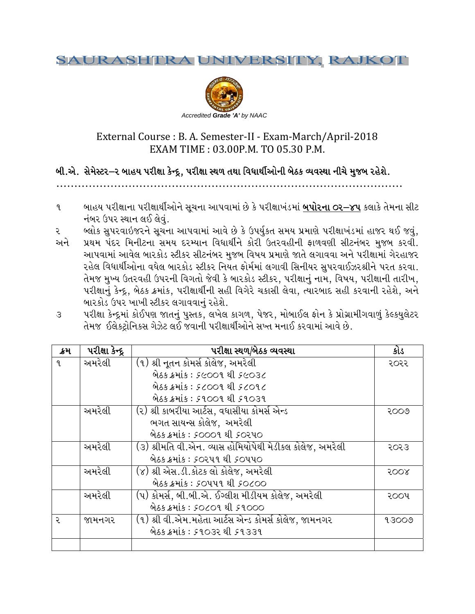#### **SAURASHIRA** VERSITY, RAJKOT



# External Course : B. A. Semester-II - Exam-March/April-2018 EXAM TIME: 03.00P.M. TO 05.30 P.M.

# બી.એ. સેમેસ્ટર–૨ બાહય પરીક્ષા કેન્દ્દ, પરીક્ષા સ્થળ તથા વિધાર્થીઓની બેઠક વ્યવસ્થા નીચે મુજબ રહેશે.

- બાહય પરીક્ષાના પરીક્ષાર્થીઓને સુચના આપવામાં છે કે પરીક્ષાખંડમાં **બપોરના ૦૨–૪૫** કલાકે તેમના સીટ  $\mathbf{q}$ નંબર ઉપર સ્થાન લઈ લેવું.
- બ્લોક સુપરવાઇજરને સૂચના આપવામાં આવે છે કે ઉપર્યુકત સમય પ્રમાણે પરીક્ષાખંડમાં હાજર થઈ જવું, ર
- પ્રથમ પંદર મિનીટના સમય દરમ્યાન વિધાર્થીને કોરી ઉતરવહીની ફાળવણી સીટનંબર મુજબ કરવી. અને આપવામાં આવેલ બારકોડ સ્ટીકર સીટનંબર મુજબ વિષય પ્રમાણે જાતે લગાવવા અને પરીક્ષામાં ગેરહાજર રહેલ વિધાર્થીઓના વધેલ બારકોડ સ્ટીકર નિયત ફોર્મમાં લગાવી સિનીયર સુપરવાઈઝરશ્રીને પરત કરવા. તેમજ મુખ્ય ઉતરવહી ઉપરની વિગતો જેવી કે બારકોડ સ્ટીકર, પરીક્ષાનું નામ, વિષય, પરીક્ષાની તારીખ, પરીક્ષાનું કેન્દ્દ, બેઠક ક્રમાંક, પરીક્ષાર્થીની સહી વિગેરે ચકાસી લેવા, ત્યારબાદ સહી કરવાની રહેશે, અને બારકોડ ઉપર ખાખી સ્ટીકર લગાવવાનું રહેશે.
- પરીક્ષા કેન્દ્રમાં કોઈપણ જાતનું પુસ્તક, લખેલ કાગળ, પેજર, મોબાઈલ ફોન કે પ્રોગ્રામીગવાળું કેલ્કયુલેટર  $\mathcal{S}$ તેમજ ઈલેકટ્રોનિકસ ગેઝેટ લઈ જવાની પરીક્ષાર્થીઓને સખ્ત મનાઈ કરવામાં આવે છે.

| ક્રમ | પરીક્ષા કેન્દ્ર | પરીક્ષા સ્થળ/બેઠક વ્યવસ્થા                               | કોડ   |
|------|-----------------|----------------------------------------------------------|-------|
| 9    | અમરેલી          | (૧) શ્રી નૃતન કોમર્સ કોલેજ, અમરેલી                       | ૨૦૨૨  |
|      |                 | <u> બેઠક ક્રમાંક: ૬૯૦૦૧ થી ૬૯૦૩૮</u>                     |       |
|      |                 | બેઠક ક્રમાંક: 5 ૮૦૦૧ થી 5 ૮૦૧૮                           |       |
|      |                 | બેઠક ક્રમાંક : ૬૧૦૦૧ થી ૬૧૦૩૧                            |       |
|      | અમરેલી          | (૨) શ્રી કાબરીયા આર્ટસ, વધાસીયા કોમર્સ એન્ડ              | २००७  |
|      |                 | ભગત સાયન્સ કોલેજ, અમરેલી                                 |       |
|      |                 | બેઠક ક્રમાંક : ૬૦૦૦૧ થી ૬૦૨૫૦                            |       |
|      | અમરેલી          | (૩) શ્રીમતિ વી.એન. વ્યાસ હોમિયોપેથી મેડીકલ કોલેજ, અમરેલી | २०२३  |
|      |                 | બેઠક ક્રમાંક : ૬૦૨૫૧ થી ૬૦૫૫૦                            |       |
|      | અમરેલી          | (૪) શ્રી એસ.ડી.કોટક લો કોલેજ, અમરેલી                     | 5008  |
|      |                 | બેઠક ક્રમાંક : ૬૦૫૫૧ થી ૬૦૮૦૦                            |       |
|      | અમરેલી          | (૫) કોમર્સ, બી.બી.એ. ઈગ્લીશ મીડીયમ કોલેજ, અમરેલી         | ૨૦૦૫  |
|      |                 | બેઠક ક્રમાંક : socor થી srooo                            |       |
| २    | જામનગર          | (૧) શ્રી વી.એમ.મહેતા આર્ટસ એન્ડ કોમર્સ કોલેજ, જામનગર     | 93009 |
|      |                 | બેઠક ક્રમાંક : ૬૧૦૩૨ થી ૬૧૩૩૧                            |       |
|      |                 |                                                          |       |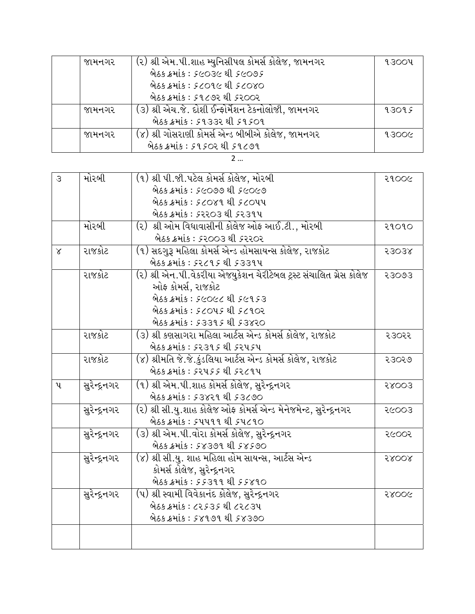| જામનગર | (૨) શ્રી એમ.પી.શાહ મ્યુનિસીપલ કોમર્સ કોલેજ, જામનગર | ૧૩૦૦૫ |
|--------|----------------------------------------------------|-------|
|        | 965 8415: 56036 21 56095                           |       |
|        | બેઠક ક્રમાંક : ૬૮૦૧૯ થી ૬૮૦૪૦                      |       |
|        | બેઠક ક્રમાંક : ૬૧૮૭૨ થી ૬૨૦૦૨                      |       |
| જામનગર | (૩) શ્રી એચ.જે. દોશી ઈન્ફોર્મેશન ટેકનોલોજી, જામનગર | १३०१६ |
|        | બેઠક ક્રમાંક : ૬૧૩૩૨ થી ૬૧૬૦૧                      |       |
| જામનગર | (૪) શ્રી ગોસરાણી કોમર્સ એન્ડ બીબીએ કોલેજ, જામનગર   | 93006 |
|        | બેઠક ક્રમાંક : ૬૧૬૦૨ થી ૬૧૮૭૧                      |       |

| ٠<br>٠ |  |
|--------|--|
|        |  |

| $\mathcal{S}$ | મોરબી        | (૧) શ્રી પી.જી.પટેલ કોમર્સ કોલેજ, મોરબી                             | २१००८ |
|---------------|--------------|---------------------------------------------------------------------|-------|
|               |              | બેઠક ક્રમાંક : ૬૯૦૭૭ થી ૬૯૦૯૭                                       |       |
|               |              | બેઠક ક્રમાંક : ૬૮૦૪૧ થી ૬૮૦૫૫                                       |       |
|               |              | બેઠક ક્રમાંક : ૬૨૨૦૩ થી ૬૨૩૧૫                                       |       |
|               | મોરબી        | (૨) શ્રી ઓમ વિધાવાસીની કોલેજ ઓફ આઈ.ટી., મોરબી                       | २१०१० |
|               |              | બેઠક ક્રમાંક : ૬૨૦૦૩ થી ૬૨૨૦૨                                       |       |
| $\alpha$      | રાજકોટ       | (૧) સદગુરૂ મહિલા કોમર્સ એન્ડ હોમસાયન્સ કોલેજ, રાજકોટ                | 53038 |
|               |              | બેઠક ક્રમાંક : ૬૨૮૧૬ થી ૬૩૩૧૫                                       |       |
|               | રાજકોટ       | (૨) શ્રી એન.પી.વેકરીયા એજયુકેશન ચેરીટેબલ ટ્રસ્ટ સંચાલિત ગ્રેસ કોલેજ | 23003 |
|               |              | ઓફ કોમર્સ, રાજકોટ                                                   |       |
|               |              | બેઠક ક્રમાંક : ૬૯૦૯૮ થી ૬૯૧૬૩                                       |       |
|               |              | બેઠક ક્રમાંક : ૬૮૦૫૬ થી ૬૮૧૦૨                                       |       |
|               |              | બેઠક ક્રમાંક : ૬૩૩૧૬ થી ૬૩૪૨૦                                       |       |
|               | રાજકોટ       | (૩) શ્રી કણસાગરા મહિલા આર્ટસ એન્ડ કોમર્સ કોલેજ, રાજકોટ              | २३०२२ |
|               |              | બેઠક ક્રમાંક : ૬૨૩૧૬ થી ૬૨૫૬૫                                       |       |
|               | રાજકોટ       | (૪) શ્રીમતિ જે.જે.કુંડલિયા આર્ટસ એન્ડ કોમર્સ કોલેજ, રાજકોટ          | २३०२७ |
|               |              | બેઠક ક્રમાંક : કરપક્ર થી કર૮૧૫                                      |       |
| પ             | સુરેન્દ્રનગર | (૧) શ્રી એમ.પી.શાહ કોમર્સ કોલેજ, સુરેન્દ્રનગર                       | 58003 |
|               |              | બેઠક ક્રમાંક : ૬૩૪૨૧ થી ૬૩૮૭૦                                       |       |
|               | સુરેન્દ્રનગર | (૨) શ્રી સી.યુ.શાહ કોલેજ ઓફ કોમર્સ એન્ડ મેનેજમેન્ટ, સુરેન્દ્રનગર    | २૯००३ |
|               |              | બેઠક ક્રમાંક : ૬૫૫૧૧ થી <i>૬</i> ૫૮૧૦                               |       |
|               | સુરેન્દ્રનગર | (૩) શ્રી એમ.પી.વોરા કોમર્સ કોલેજ, સુરેન્દ્રનગર                      | २૯००२ |
|               |              | બેઠક ક્રમાંક : ૬૪૩૭૧ થી ૬૪૬૭૦                                       |       |
|               | સુરેન્દ્રનગર | (૪) શ્રી સી.યુ. શાહ મહિલા હોમ સાયન્સ, આર્ટસ એન્ડ                    | 58008 |
|               |              | કોમર્સ કોલેજ, સુરેન્દ્રનગર                                          |       |
|               |              | બેઠક ક્રમાંક : ૬૬૩૧૧ થી ૬૬૪૧૦                                       |       |
|               | સુરેન્દ્રનગર | (૫) શ્રી સ્વામી વિવેકાનંદ કોલેજ, સુરેન્દ્રનગર                       | २४००५ |
|               |              | બેઠક ક્રમાંક : ૮૨૬૩૬ થી ૮૨૮૩૫                                       |       |
|               |              | બેઠક ક્રમાંક : ૬૪૧૭૧ થી ૬૪૩૭૦                                       |       |
|               |              |                                                                     |       |
|               |              |                                                                     |       |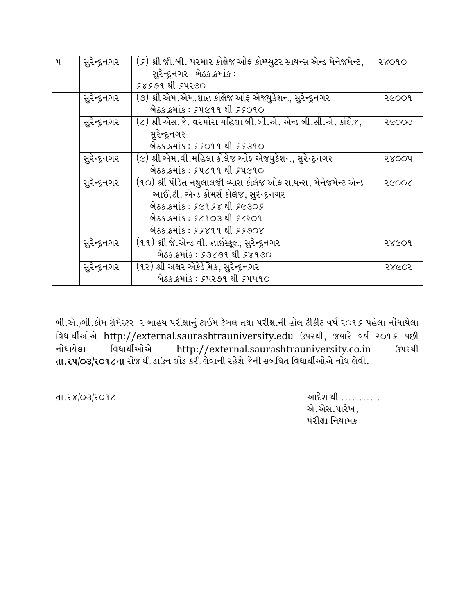| પ | સુરેન્દ્રનગર | ( <i>૬</i> ) શ્રી જી.બી. પરમાર કોલેજ ઓફ કોમ્પ્યુટર સાયન્સ એન્ડ મેનેજમેન્ટ, | २४०१० |
|---|--------------|----------------------------------------------------------------------------|-------|
|   |              | સુરેન્દ્રનગર બેઠક ક્રમાંક :                                                |       |
|   |              | 58599 21 54290                                                             |       |
|   | સુરેન્દ્રનગર | (૭) શ્રી એમ.એમ.શાહ કોલેજ ઓફ એજયુકેશન, સુરેન્દ્રનગર                         | २૯००१ |
|   |              | બેઠક ક્રમાંક : ૬૫૯૧૧ થી ૬૬૦૧૦                                              |       |
|   | સુરેન્દ્રનગર | (૮) શ્રી એસ.જે. વરમોરા મહિલા બી.બી.એ. એન્ડ બી.સી.એ. કોલેજ,                 | २૯००७ |
|   |              | સુરેન્દ્રનગર                                                               |       |
|   |              | બેઠક ક્રમાંક : ૬૬૦૧૧ થી ૬૬૩૧૦                                              |       |
|   | સુરેન્દ્રનગર | (૯) શ્રી એમ.વી.મહિલા કોલેજ ઓફ એજયુકેશન, સુરેન્દ્રનગર                       | २४००५ |
|   |              | બેઠક ક્રમાંક : ૬૫૮૧૧ થી ૬૫૯૧૦                                              |       |
|   | સુરેન્દ્રનગર | (૧૦) શ્રી પંડિત નથુલાલજી વ્યાસ કોલેજ ઓફ સાયન્સ, મેનેજમેન્ટ એન્ડ            | २८००८ |
|   |              | આઈ.ટી. એન્ડ કોમર્સ કોલેજ, સુરેન્દ્રનગર                                     |       |
|   |              | 965 8415: 56958 21 56305                                                   |       |
|   |              | બેઠક ક્રમાંક : ૬૮૧૦૩ થી ૬૮૨૦૧                                              |       |
|   |              | 965 8415: 55899 21 55908                                                   |       |
|   | સુરેન્દ્રનગર | (૧૧) શ્રી જે.એન્ડ વી. હાઈસ્કૂલ, સુરેન્દ્રનગર                               | २४૯०१ |
|   |              | બેઠક ક્રમાંક : ૬૩૮૭૧ થી ૬૪૧૭૦                                              |       |
|   | સુરેન્દ્રનગર | (૧૨) શ્રી અક્ષર એકેડેમિક, સુરેન્દ્રનગર                                     | २४૯०२ |
|   |              | બેઠક ક્રમાંક : ૬૫૨૭૧ થી ૬૫૫૧૦                                              |       |

બી.એ./બી.કોમ સેમેસ્ટર–૨ બાહય પરીક્ષાનું ટાઈમ ટેબલ તથા પરીક્ષાની હોલ ટીકીટ વર્ષ ૨૦૧૬ પહેલા નોંધાયેલા વિધાર્થીઓએ http://external.saurashtrauniversity.edu ઉપરથી, જયારે વર્ષ ૨૦૧૬ પછી વિધાર્થીઓએ નોંધાયેલા http://external.saurashtrauniversity.co.in ઉપરથી <u>તા.૨૫/૦૩/૨૦૧૮ના</u> રોજ થી ડાઉન લોડ કરી લેવાની રહેશે જેની સબંધિત વિધાર્થીઓએ નોંધ લેવી.

તા.૨૪/03/૨**૦૧**૮

આદેશ થી .......... એ.એસ.પારેખ, પરીક્ષા નિયામક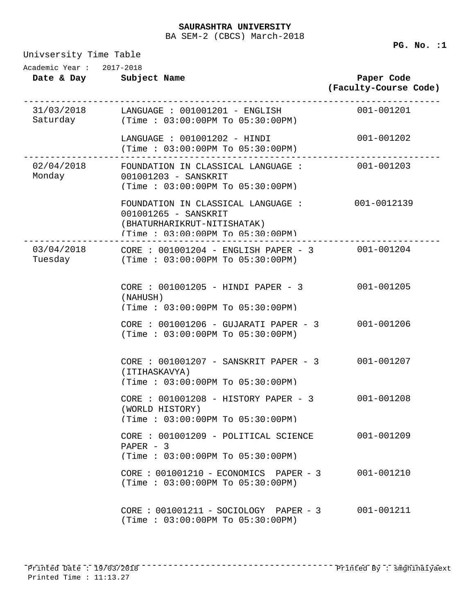BA SEM-2 (CBCS) March-2018

Univsersity Time Table **Date & Day Subject Name Paper Code (Faculty-Course Code)** Academic Year : 2017-2018 31/03/2018 ------------------------------------------------------------------------------ Saturday LANGUAGE : 001001201 - ENGLISH 001-001201 (Time : 03:00:00PM To 05:30:00PM) LANGUAGE : 001001202 - HINDI 001-001202 (Time : 03:00:00PM To 05:30:00PM) 02/04/2018 ------------------------------------------------------------------------------ Monday FOUNDATION IN CLASSICAL LANGUAGE : 001001203 - SANSKRIT (Time : 03:00:00PM To 05:30:00PM) FOUNDATION IN CLASSICAL LANGUAGE : 001-0012139 001001265 - SANSKRIT (BHATURHARIKRUT-NITISHATAK) (Time : 03:00:00PM To 05:30:00PM) 03/04/2018 ------------------------------------------------------------------------------ CORE : 001001204 - ENGLISH PAPER - 3 001-001204 Tuesday (Time : 03:00:00PM To 05:30:00PM) CORE : 001001205 - HINDI PAPER - 3 001-001205 (NAHUSH) (Time : 03:00:00PM To 05:30:00PM) CORE : 001001206 - GUJARATI PAPER - 3 001-001206 (Time : 03:00:00PM To 05:30:00PM) CORE : 001001207 - SANSKRIT PAPER - 3 001-001207 (ITIHASKAVYA) (Time : 03:00:00PM To 05:30:00PM) CORE : 001001208 - HISTORY PAPER - 3 001-001208 (WORLD HISTORY) (Time : 03:00:00PM To 05:30:00PM) CORE : 001001209 - POLITICAL SCIENCE 001-001209 PAPER - 3 (Time : 03:00:00PM To 05:30:00PM) CORE : 001001210 - ECONOMICS PAPER - 3 001-001210 (Time : 03:00:00PM To 05:30:00PM) CORE : 001001211 - SOCIOLOGY PAPER - 3 001-001211 (Time : 03:00:00PM To 05:30:00PM)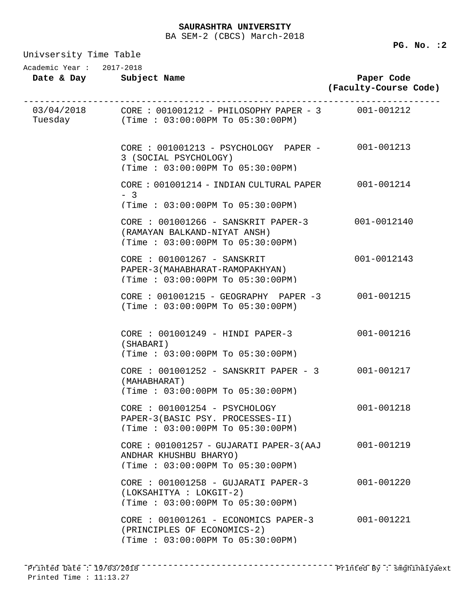| Univsersity Time Table |  |  |
|------------------------|--|--|
|------------------------|--|--|

| Academic Year: 2017-2018 | Date & Day Subject Name                                                                                             | Paper Code<br>(Faculty-Course Code) |
|--------------------------|---------------------------------------------------------------------------------------------------------------------|-------------------------------------|
|                          | $03/04/2018$ CORE : $001001212 - PHILOSOPHY PAPER - 3$ 001-001212<br>Tuesday (Time : 03:00:00PM To 05:30:00PM)      |                                     |
|                          | CORE : 001001213 - PSYCHOLOGY PAPER - 001-001213<br>3 (SOCIAL PSYCHOLOGY)<br>(Time: 03:00:00PM To 05:30:00PM)       |                                     |
|                          | CORE : 001001214 - INDIAN CULTURAL PAPER 001-001214<br>$-3$<br>(Time: 03:00:00PM To 05:30:00PM)                     |                                     |
|                          | CORE : 001001266 - SANSKRIT PAPER-3 001-0012140<br>(RAMAYAN BALKAND-NIYAT ANSH)<br>(Time: 03:00:00PM To 05:30:00PM) |                                     |
|                          | CORE : 001001267 - SANSKRIT<br>PAPER-3 (MAHABHARAT-RAMOPAKHYAN)<br>(Time: 03:00:00PM To 05:30:00PM)                 | 001-0012143                         |
|                          | CORE : 001001215 - GEOGRAPHY PAPER -3 001-001215<br>(Time : 03:00:00PM TO 05:30:00PM)                               |                                     |
|                          | CORE : 001001249 - HINDI PAPER-3<br>(SHABARI)<br>(Time: 03:00:00PM To 05:30:00PM)                                   | 001-001216                          |
|                          | CORE : 001001252 - SANSKRIT PAPER - 3 001-001217<br>(MAHABHARAT)<br>(Time: 03:00:00PM To 05:30:00PM)                |                                     |
|                          | CORE : 001001254 - PSYCHOLOGY<br>PAPER-3(BASIC PSY. PROCESSES-II)<br>(Time: 03:00:00PM To 05:30:00PM)               | 001-001218                          |
|                          | CORE: 001001257 - GUJARATI PAPER-3(AAJ<br>ANDHAR KHUSHBU BHARYO)<br>(Time: 03:00:00PM To 05:30:00PM)                | 001-001219                          |
|                          | $CORE : 001001258 - GUJARATI PAPER-3$<br>(LOKSAHITYA : LOKGIT-2)<br>(Time : 03:00:00PM T0 05:30:00PM)               | $001 - 001220$                      |
|                          | CORE : 001001261 - ECONOMICS PAPER-3<br>(PRINCIPLES OF ECONOMICS-2)<br>(Time: 03:00:00PM To 05:30:00PM)             | 001-001221                          |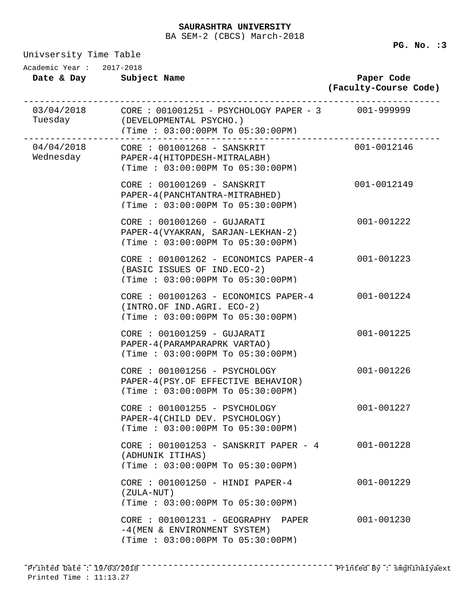BA SEM-2 (CBCS) March-2018

| Univsersity Time Table |  |  |
|------------------------|--|--|
|------------------------|--|--|

| Academic Year: 2017-2018<br>Date & Day Subject Name |                                                                                                                    | Paper Code<br>(Faculty-Course Code) |
|-----------------------------------------------------|--------------------------------------------------------------------------------------------------------------------|-------------------------------------|
|                                                     | Tuesday (DEVELOPMENTAL PSYCHO.)<br>(Time: $03:00:00$ PM To $05:30:00$ PM)                                          |                                     |
|                                                     | Wednesday PAPER-4(HITOPDESH-MITRALABH)<br>(Time: 03:00:00PM To 05:30:00PM)                                         | $001 - 0012146$                     |
|                                                     | CORE : 001001269 - SANSKRIT<br>PAPER-4 (PANCHTANTRA-MITRABHED)<br>(Time: 03:00:00PM To 05:30:00PM)                 | 001-0012149                         |
|                                                     | CORE : 001001260 - GUJARATI<br>PAPER-4(VYAKRAN, SARJAN-LEKHAN-2)<br>(Time: 03:00:00PM To 05:30:00PM)               | 001-001222                          |
|                                                     | CORE : 001001262 - ECONOMICS PAPER-4 001-001223<br>(BASIC ISSUES OF IND.ECO-2)<br>(Time: 03:00:00PM To 05:30:00PM) |                                     |
|                                                     | CORE : 001001263 - ECONOMICS PAPER-4 001-001224<br>(INTRO.OF IND.AGRI. ECO-2)<br>(Time: 03:00:00PM To 05:30:00PM)  |                                     |
|                                                     | CORE : 001001259 - GUJARATI<br>PAPER-4 (PARAMPARAPRK VARTAO)<br>(Time: 03:00:00PM To 05:30:00PM)                   | 001-001225                          |
|                                                     | CORE : 001001256 - PSYCHOLOGY<br>PAPER-4(PSY.OF EFFECTIVE BEHAVIOR)<br>(Time: 03:00:00PM To 05:30:00PM)            | 001-001226                          |
|                                                     | CORE : 001001255 - PSYCHOLOGY<br>PAPER-4(CHILD DEV. PSYCHOLOGY)<br>(Time: 03:00:00PM To 05:30:00PM)                | 001-001227                          |
|                                                     | CORE : 001001253 - SANSKRIT PAPER - 4<br>(ADHUNIK ITIHAS)<br>(Time: 03:00:00PM To 05:30:00PM)                      | 001-001228                          |
|                                                     | CORE : 001001250 - HINDI PAPER-4<br>(ZULA-NUT)<br>(Time: 03:00:00PM To 05:30:00PM)                                 | 001-001229                          |
|                                                     | CORE : 001001231 - GEOGRAPHY<br>PAPER<br>-4 (MEN & ENVIRONMENT SYSTEM)<br>(Time: 03:00:00PM To 05:30:00PM)         | 001-001230                          |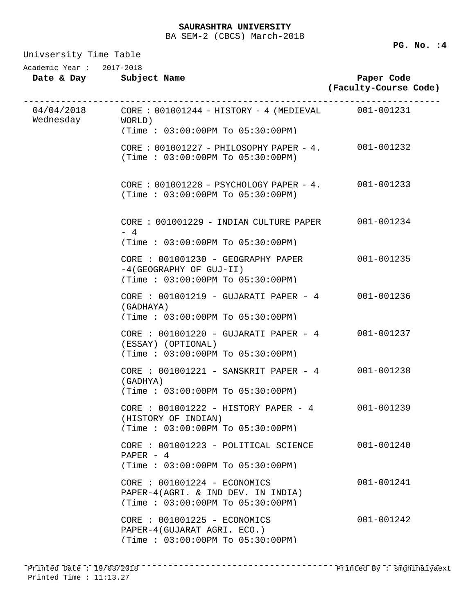| Univsersity Time Table                              |                                                                                                              |                                     |  |
|-----------------------------------------------------|--------------------------------------------------------------------------------------------------------------|-------------------------------------|--|
| Academic Year: 2017-2018<br>Date & Day Subject Name |                                                                                                              | Paper Code<br>(Faculty-Course Code) |  |
| Wednesday WORLD)                                    | $04/04/2018$ CORE : $001001244$ - HISTORY - 4 (MEDIEVAL 001-001231<br>(Time: $03:00:00$ PM To $05:30:00$ PM) |                                     |  |
|                                                     | CORE : 001001227 - PHILOSOPHY PAPER - 4. 001-001232<br>(Time : 03:00:00PM TO 05:30:00PM)                     |                                     |  |
|                                                     | CORE : 001001228 - PSYCHOLOGY PAPER - 4. 001-001233<br>(Time : 03:00:00PM TO 05:30:00PM)                     |                                     |  |
|                                                     | CORE : 001001229 - INDIAN CULTURE PAPER 001-001234<br>$-4$<br>$(Time : 03:00:00PM$ To $05:30:00PM$           |                                     |  |
|                                                     | CORE : 001001230 - GEOGRAPHY PAPER<br>$-4$ (GEOGRAPHY OF GUJ-II)<br>(Time: 03:00:00PM To 05:30:00PM)         | $001 - 001235$                      |  |
|                                                     | CORE : 001001219 - GUJARATI PAPER - 4 001-001236<br>(GADHAYA)<br>(Time: 03:00:00PM To 05:30:00PM)            |                                     |  |
|                                                     | CORE : 001001220 - GUJARATI PAPER - 4 001-001237<br>(ESSAY) (OPTIONAL)<br>(Time: 03:00:00PM To 05:30:00PM)   |                                     |  |
|                                                     | CORE: 001001221 - SANSKRIT PAPER - 4 001-001238<br>(GADHYA)<br>(Time: 03:00:00PM To 05:30:00PM)              |                                     |  |
|                                                     | CORE : 001001222 - HISTORY PAPER - 4<br>(HISTORY OF INDIAN)<br>(Time: 03:00:00PM To 05:30:00PM)              | 001-001239                          |  |
|                                                     | $CORE : 001001223 - POLITICAL SCIENTCE$<br>PAPER $-4$<br>(Time: 03:00:00PM To 05:30:00PM)                    | 001-001240                          |  |
|                                                     | CORE : 001001224 - ECONOMICS<br>PAPER-4(AGRI. & IND DEV. IN INDIA)<br>(Time: 03:00:00PM To 05:30:00PM)       | 001-001241                          |  |
|                                                     | CORE : 001001225 - ECONOMICS<br>PAPER-4(GUJARAT AGRI. ECO.)<br>(Time: 03:00:00PM To 05:30:00PM)              | $001 - 001242$                      |  |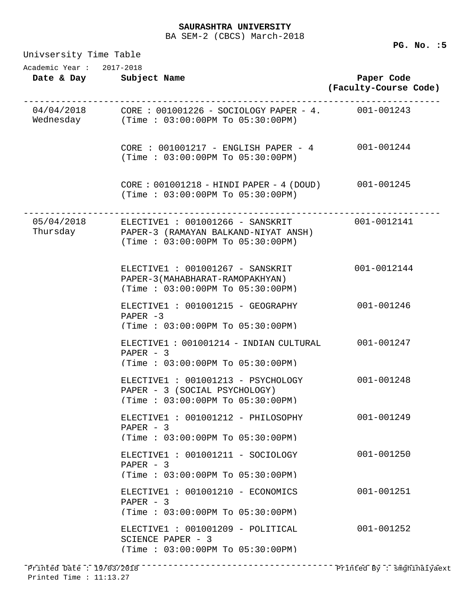BA SEM-2 (CBCS) March-2018

**PG. No. :5** 

Univsersity Time Table **Date & Day Subject Name Paper Code (Faculty-Course Code)** Academic Year : 2017-2018 04/04/2018 ------------------------------------------------------------------------------ CORE : 001001226 - SOCIOLOGY PAPER - 4. 001-001243 Wednesday (Time : 03:00:00PM To 05:30:00PM) CORE : 001001217 - ENGLISH PAPER - 4 001-001244 (Time : 03:00:00PM To 05:30:00PM) CORE : 001001218 - HINDI PAPER - 4 (DOUD) 001-001245 (Time : 03:00:00PM To 05:30:00PM) 05/04/2018 ------------------------------------------------------------------------------ Thursday  $ELECTIVE1 : 001001266 - SANSKRIT$ PAPER-3 (RAMAYAN BALKAND-NIYAT ANSH) (Time : 03:00:00PM To 05:30:00PM) ELECTIVE1 : 001001267 - SANSKRIT 001-0012144 PAPER-3(MAHABHARAT-RAMOPAKHYAN) (Time : 03:00:00PM To 05:30:00PM) ELECTIVE1 : 001001215 - GEOGRAPHY 001-001246 PAPER -3 (Time : 03:00:00PM To 05:30:00PM) ELECTIVE1 : 001001214 - INDIAN CULTURAL 001-001247 PAPER - 3 (Time : 03:00:00PM To 05:30:00PM) ELECTIVE1 : 001001213 - PSYCHOLOGY 001-001248 PAPER - 3 (SOCIAL PSYCHOLOGY) (Time : 03:00:00PM To 05:30:00PM) ELECTIVE1 : 001001212 - PHILOSOPHY 001-001249 PAPER - 3 (Time : 03:00:00PM To 05:30:00PM) ELECTIVE1 : 001001211 - SOCIOLOGY 001-001250 PAPER - 3 (Time : 03:00:00PM To 05:30:00PM) ELECTIVE1 : 001001210 - ECONOMICS 001-001251 PAPER - 3 (Time : 03:00:00PM To 05:30:00PM) ELECTIVE1 : 001001209 - POLITICAL 001-001252 SCIENCE PAPER - 3 (Time : 03:00:00PM To 05:30:00PM) ------------------------------------------------------------------------------ Printed Date : 19/03/2018 Printed By : smghinaiyaextPrinted Time : 11:13.27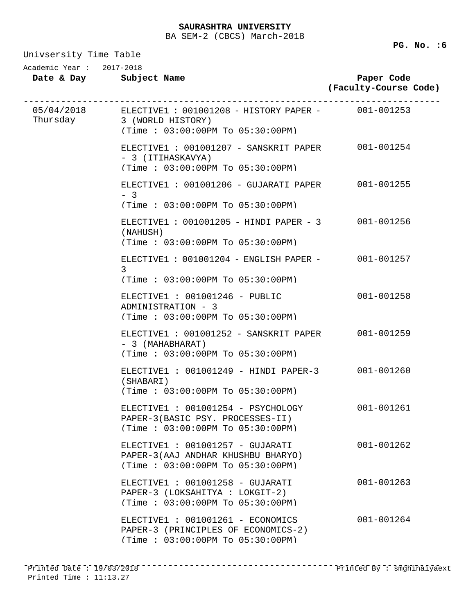Univsersity Time Table

**Date & Day Subject Name Paper Code (Faculty-Course Code)** Academic Year : 2017-2018 05/04/2018 ------------------------------------------------------------------------------ ELECTIVE1 : 001001208 - HISTORY PAPER - 001-001253 Thursday 3 (WORLD HISTORY) (Time : 03:00:00PM To 05:30:00PM) ELECTIVE1 : 001001207 - SANSKRIT PAPER 001-001254 - 3 (ITIHASKAVYA) (Time : 03:00:00PM To 05:30:00PM) ELECTIVE1 : 001001206 - GUJARATI PAPER 001-001255 - 3 (Time : 03:00:00PM To 05:30:00PM) ELECTIVE1 : 001001205 - HINDI PAPER - 3 001-001256 (NAHUSH) (Time : 03:00:00PM To 05:30:00PM) ELECTIVE1 : 001001204 - ENGLISH PAPER - 001-001257 3 (Time : 03:00:00PM To 05:30:00PM) ELECTIVE1 : 001001246 - PUBLIC 001-001258 ADMINISTRATION - 3 (Time : 03:00:00PM To 05:30:00PM) ELECTIVE1 : 001001252 - SANSKRIT PAPER 001-001259 - 3 (MAHABHARAT) (Time : 03:00:00PM To 05:30:00PM) ELECTIVE1 : 001001249 - HINDI PAPER-3 001-001260 (SHABARI) (Time : 03:00:00PM To 05:30:00PM) ELECTIVE1 : 001001254 - PSYCHOLOGY 001-001261 PAPER-3(BASIC PSY. PROCESSES-II) (Time : 03:00:00PM To 05:30:00PM) ELECTIVE1 : 001001257 - GUJARATI 001-001262 PAPER-3(AAJ ANDHAR KHUSHBU BHARYO) (Time : 03:00:00PM To 05:30:00PM) ELECTIVE1 : 001001258 - GUJARATI 001-001263 PAPER-3 (LOKSAHITYA : LOKGIT-2) (Time : 03:00:00PM To 05:30:00PM) ELECTIVE1 : 001001261 - ECONOMICS 001-001264 PAPER-3 (PRINCIPLES OF ECONOMICS-2) (Time : 03:00:00PM To 05:30:00PM)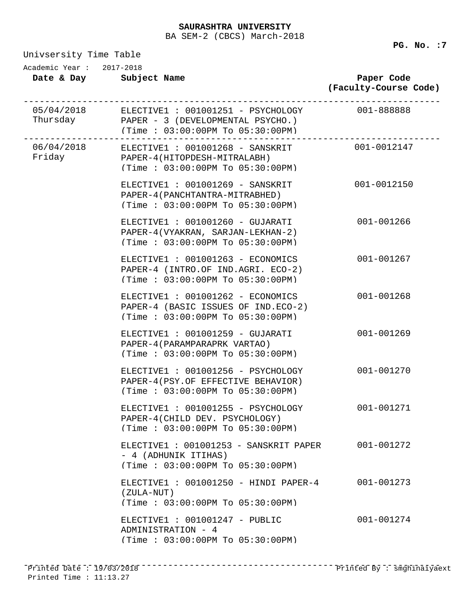BA SEM-2 (CBCS) March-2018

| Academic Year: 2017-2018 | Date & Day Subject Name                                                                                                                          | Paper Code<br>(Faculty-Course Code) |
|--------------------------|--------------------------------------------------------------------------------------------------------------------------------------------------|-------------------------------------|
|                          | 05/04/2018 ELECTIVE1 : 001001251 - PSYCHOLOGY 001-888888<br>Thursday PAPER - 3 (DEVELOPMENTAL PSYCHO.)<br>(Time: $03:00:00$ PM To $05:30:00$ PM) |                                     |
|                          | 06/04/2018 ELECTIVE1: 001001268 - SANSKRIT 001-0012147<br>Friday PAPER-4(HITOPDESH-MITRALABH)<br>(Time: 03:00:00PM To 05:30:00PM)                |                                     |
|                          | ELECTIVE1 : 001001269 - SANSKRIT<br>PAPER-4 (PANCHTANTRA-MITRABHED)<br>(Time: 03:00:00PM To 05:30:00PM)                                          | 001-0012150                         |
|                          | ELECTIVE1 : 001001260 - GUJARATI<br>PAPER-4(VYAKRAN, SARJAN-LEKHAN-2)<br>(Time: 03:00:00PM To 05:30:00PM)                                        | 001-001266                          |
|                          | ELECTIVE1 : 001001263 - ECONOMICS<br>PAPER-4 (INTRO.OF IND.AGRI. ECO-2)<br>(Time: 03:00:00PM To 05:30:00PM)                                      | 001-001267                          |
|                          | ELECTIVE1 : 001001262 - ECONOMICS<br>PAPER-4 (BASIC ISSUES OF IND.ECO-2)<br>(Time: 03:00:00PM To 05:30:00PM)                                     | 001-001268                          |
|                          | ELECTIVE1 : 001001259 - GUJARATI<br>PAPER-4 (PARAMPARAPRK VARTAO)<br>(Time: 03:00:00PM To 05:30:00PM)                                            | 001-001269                          |

ELECTIVE1 : 001001256 - PSYCHOLOGY 001-001270 PAPER-4(PSY.OF EFFECTIVE BEHAVIOR) (Time : 03:00:00PM To 05:30:00PM)

ELECTIVE1 : 001001255 - PSYCHOLOGY 001-001271 PAPER-4(CHILD DEV. PSYCHOLOGY) (Time : 03:00:00PM To 05:30:00PM)

ELECTIVE1 : 001001253 - SANSKRIT PAPER 001-001272 - 4 (ADHUNIK ITIHAS) (Time : 03:00:00PM To 05:30:00PM)

ELECTIVE1 : 001001250 - HINDI PAPER-4 001-001273 (ZULA-NUT) (Time : 03:00:00PM To 05:30:00PM)

ELECTIVE1 : 001001247 - PUBLIC 001-001274 ADMINISTRATION - 4 (Time : 03:00:00PM To 05:30:00PM)

Univsersity Time Table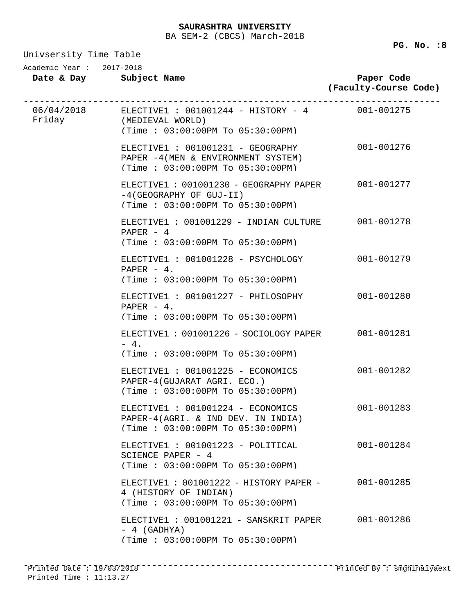Univsersity Time Table

**PG. No. :8**

| ANTARGIRICA TIME TADIE<br>Academic Year: 2017-2018 | Date & Day Subject Name                                                                                                     | Paper Code<br>(Faculty-Course Code) |
|----------------------------------------------------|-----------------------------------------------------------------------------------------------------------------------------|-------------------------------------|
|                                                    | $06/04/2018$ ELECTIVE1 : 001001244 - HISTORY - 4 001-001275<br>Friday (MEDIEVAL WORLD)<br>(Time : 03:00:00PM T0 05:30:00PM) |                                     |
|                                                    | ELECTIVE1 : 001001231 - GEOGRAPHY<br>PAPER -4 (MEN & ENVIRONMENT SYSTEM)<br>(Time: 03:00:00PM To 05:30:00PM)                | 001-001276                          |
|                                                    | ELECTIVE1: 001001230 - GEOGRAPHY PAPER 001-001277<br>$-4$ (GEOGRAPHY OF GUJ-II)<br>(Time: 03:00:00PM To 05:30:00PM)         |                                     |
|                                                    | ELECTIVE1: 001001229 - INDIAN CULTURE<br>$PAPER - 4$<br>(Time: 03:00:00PM To 05:30:00PM)                                    | 001-001278                          |
|                                                    | ELECTIVE1 : 001001228 - PSYCHOLOGY<br>PAPER $-4$ .<br>(Time: 03:00:00PM To 05:30:00PM)                                      | 001-001279                          |
|                                                    | ELECTIVE1 : 001001227 - PHILOSOPHY<br>PAPER $-4$ .<br>(Time: 03:00:00PM To 05:30:00PM)                                      | 001-001280                          |
|                                                    | ELECTIVE1: 001001226 - SOCIOLOGY PAPER 001-001281<br>$-4.$<br>(Time: 03:00:00PM To 05:30:00PM)                              |                                     |
|                                                    | ELECTIVE1 : 001001225 - ECONOMICS<br>PAPER-4(GUJARAT AGRI. ECO.)<br>(Time: 03:00:00PM To 05:30:00PM)                        | 001-001282                          |
|                                                    | ELECTIVE1 : 001001224 - ECONOMICS<br>PAPER-4(AGRI. & IND DEV. IN INDIA)<br>(Time : 03:00:00PM TO 05:30:00PM)                | 001-001283                          |
|                                                    | ELECTIVE1 : 001001223 - POLITICAL<br>SCIENCE PAPER - 4<br>(Time: 03:00:00PM To 05:30:00PM)                                  | 001-001284                          |
|                                                    | ELECTIVE1: 001001222 - HISTORY PAPER -<br>4 (HISTORY OF INDIAN)<br>(Time: 03:00:00PM To 05:30:00PM)                         | 001-001285                          |
|                                                    | ELECTIVE1: 001001221 - SANSKRIT PAPER<br>$-4$ (GADHYA)                                                                      | 001-001286                          |

(Time : 03:00:00PM To 05:30:00PM)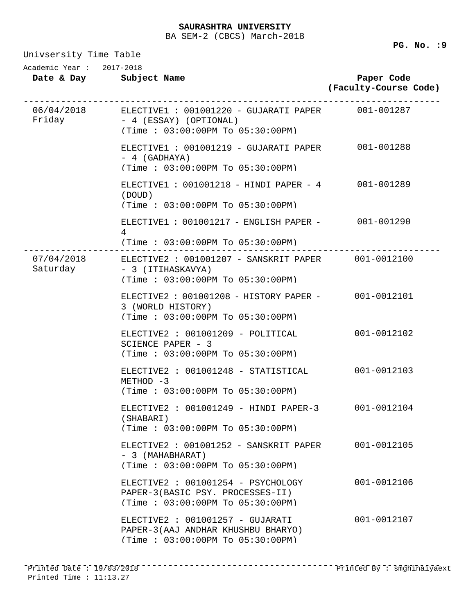Univsersity Time Table

**Date & Day Subject Name Paper Code (Faculty-Course Code)** Academic Year : 2017-2018 06/04/2018 ------------------------------------------------------------------------------ ELECTIVE1 : 001001220 - GUJARATI PAPER 001-001287 Friday - 4 (ESSAY) (OPTIONAL) (Time : 03:00:00PM To 05:30:00PM) ELECTIVE1 : 001001219 - GUJARATI PAPER 001-001288 - 4 (GADHAYA) (Time : 03:00:00PM To 05:30:00PM) ELECTIVE1 : 001001218 - HINDI PAPER - 4 001-001289 (DOUD) (Time : 03:00:00PM To 05:30:00PM) ELECTIVE1 : 001001217 - ENGLISH PAPER - 001-001290 4 (Time : 03:00:00PM To 05:30:00PM) 07/04/2018 ------------------------------------------------------------------------------ ELECTIVE2 : 001001207 - SANSKRIT PAPER 001-0012100 Saturday - 3 (ITIHASKAVYA) (Time : 03:00:00PM To 05:30:00PM) ELECTIVE2 : 001001208 - HISTORY PAPER - 001-0012101 3 (WORLD HISTORY) (Time : 03:00:00PM To 05:30:00PM) ELECTIVE2 : 001001209 - POLITICAL 001-0012102 SCIENCE PAPER - 3 (Time : 03:00:00PM To 05:30:00PM) ELECTIVE2 : 001001248 - STATISTICAL 001-0012103  $METHOD -3$ (Time : 03:00:00PM To 05:30:00PM) ELECTIVE2 : 001001249 - HINDI PAPER-3 001-0012104 (SHABARI) (Time : 03:00:00PM To 05:30:00PM) ELECTIVE2 : 001001252 - SANSKRIT PAPER 001-0012105 - 3 (MAHABHARAT) (Time : 03:00:00PM To 05:30:00PM) ELECTIVE2 : 001001254 - PSYCHOLOGY 001-0012106 PAPER-3(BASIC PSY. PROCESSES-II) (Time : 03:00:00PM To 05:30:00PM) ELECTIVE2 : 001001257 - GUJARATI 001-0012107 PAPER-3(AAJ ANDHAR KHUSHBU BHARYO) (Time : 03:00:00PM To 05:30:00PM)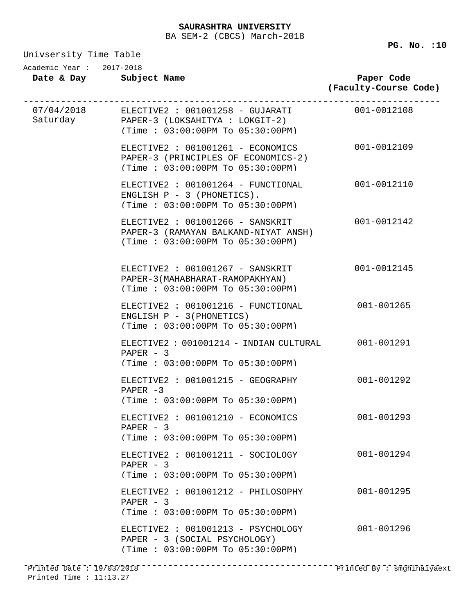Univsersity Time Table

**Date & Day Subject Name Paper Code (Faculty-Course Code)** Academic Year : 2017-2018 07/04/2018 ------------------------------------------------------------------------------ Saturday ELECTIVE2 : 001001258 - GUJARATI 001-0012108 PAPER-3 (LOKSAHITYA : LOKGIT-2) (Time : 03:00:00PM To 05:30:00PM) ELECTIVE2 : 001001261 - ECONOMICS 001-0012109 PAPER-3 (PRINCIPLES OF ECONOMICS-2) (Time : 03:00:00PM To 05:30:00PM) ELECTIVE2 : 001001264 - FUNCTIONAL 001-0012110 ENGLISH  $P - 3$  (PHONETICS). (Time : 03:00:00PM To 05:30:00PM) ELECTIVE2 : 001001266 - SANSKRIT 001-0012142 PAPER-3 (RAMAYAN BALKAND-NIYAT ANSH) (Time : 03:00:00PM To 05:30:00PM) ELECTIVE2 : 001001267 - SANSKRIT 001-0012145 PAPER-3(MAHABHARAT-RAMOPAKHYAN) (Time : 03:00:00PM To 05:30:00PM) ELECTIVE2 : 001001216 - FUNCTIONAL 001-001265 ENGLISH P - 3(PHONETICS) (Time : 03:00:00PM To 05:30:00PM) ELECTIVE2 : 001001214 - INDIAN CULTURAL 001-001291 PAPER - 3 (Time : 03:00:00PM To 05:30:00PM) ELECTIVE2 : 001001215 - GEOGRAPHY 001-001292  $PAPER -3$ (Time : 03:00:00PM To 05:30:00PM) ELECTIVE2 : 001001210 - ECONOMICS 001-001293 PAPER - 3 (Time : 03:00:00PM To 05:30:00PM) ELECTIVE2 : 001001211 - SOCIOLOGY 001-001294 PAPER - 3 (Time : 03:00:00PM To 05:30:00PM) ELECTIVE2 : 001001212 - PHILOSOPHY 001-001295 PAPER - 3 (Time : 03:00:00PM To 05:30:00PM) ELECTIVE2 : 001001213 - PSYCHOLOGY 001-001296 PAPER - 3 (SOCIAL PSYCHOLOGY) (Time : 03:00:00PM To 05:30:00PM)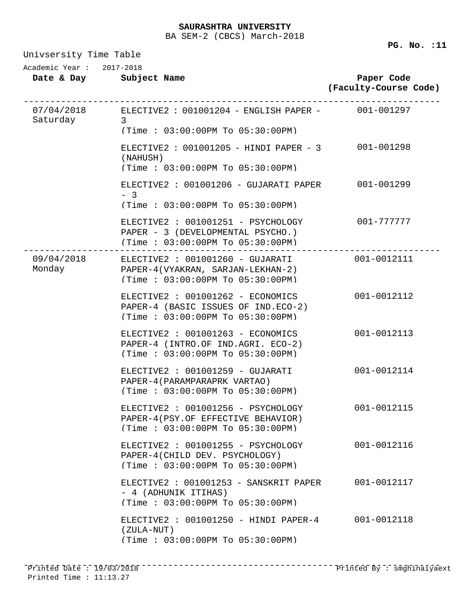| Academic Year: 2017-2018 | Date & Day Subject Name                                                                                                                 | Paper Code<br>(Faculty-Course Code) |
|--------------------------|-----------------------------------------------------------------------------------------------------------------------------------------|-------------------------------------|
| Saturday 3               | 07/04/2018 ELECTIVE2: 001001204 - ENGLISH PAPER - 001-001297                                                                            |                                     |
|                          | (Time : 03:00:00PM T0 05:30:00PM)                                                                                                       |                                     |
|                          | ELECTIVE2: $001001205$ - HINDI PAPER - 3<br>(NAHUSH)<br>(Time : 03:00:00PM T0 05:30:00PM)                                               | 001-001298                          |
|                          | ELECTIVE2: 001001206 - GUJARATI PAPER<br>$-3$<br>(Time: 03:00:00PM To 05:30:00PM)                                                       | 001-001299                          |
|                          | ELECTIVE2 : 001001251 - PSYCHOLOGY<br>PAPER - 3 (DEVELOPMENTAL PSYCHO.)<br>(Time: 03:00:00PM To 05:30:00PM)                             | 001-777777                          |
|                          | 09/04/2018 ELECTIVE2 : 001001260 - GUJARATI 001-0012111<br>Monday PAPER-4(VYAKRAN, SARJAN-LEKHAN-2)<br>(Time: 03:00:00PM To 05:30:00PM) |                                     |
|                          | ELECTIVE2 : 001001262 - ECONOMICS<br>PAPER-4 (BASIC ISSUES OF IND.ECO-2)<br>(Time: 03:00:00PM To 05:30:00PM)                            | 001-0012112                         |
|                          | ELECTIVE2 : 001001263 - ECONOMICS<br>PAPER-4 (INTRO.OF IND.AGRI. ECO-2)<br>(Time: 03:00:00PM To 05:30:00PM)                             | 001-0012113                         |
|                          | ELECTIVE2 : 001001259 - GUJARATI<br>PAPER-4 (PARAMPARAPRK VARTAO)<br>(Time: 03:00:00PM To 05:30:00PM)                                   | 001-0012114                         |
|                          | ELECTIVE2 : 001001256 - PSYCHOLOGY<br>PAPER-4(PSY.OF EFFECTIVE BEHAVIOR)<br>(Time: 03:00:00PM To 05:30:00PM)                            | 001-0012115                         |
|                          | ELECTIVE2 : 001001255 - PSYCHOLOGY<br>PAPER-4(CHILD DEV. PSYCHOLOGY)<br>(Time: 03:00:00PM To 05:30:00PM)                                | 001-0012116                         |
|                          | ELECTIVE2: 001001253 - SANSKRIT PAPER<br>- 4 (ADHUNIK ITIHAS)<br>(Time : 03:00:00PM TO 05:30:00PM)                                      | 001-0012117                         |
|                          | ELECTIVE2: 001001250 - HINDI PAPER-4<br>(ZULA-NUT)<br>(Time: 03:00:00PM To 05:30:00PM)                                                  | 001-0012118                         |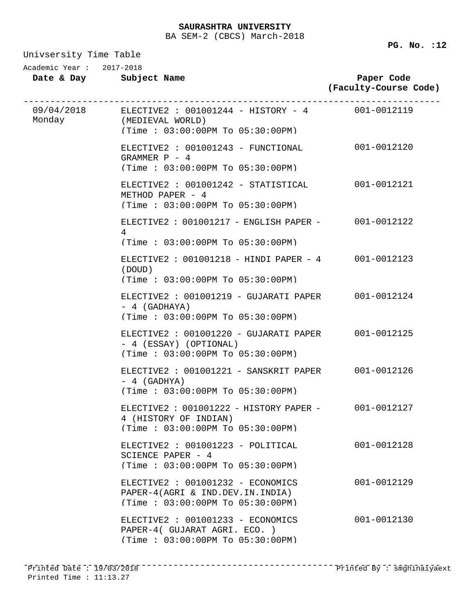Univsersity Time Table

| Date & Day      | Subject Name |
|-----------------|--------------|
| Academic Year : | 2017-2018    |

| Date & Day Subject Name                                                                                                    | Paper Code<br>(Faculty-Course Code) |
|----------------------------------------------------------------------------------------------------------------------------|-------------------------------------|
| $09/04/2018$ ELECTIVE2: 001001244 - HISTORY - 4 001-0012119<br>Monday (MEDIEVAL WORLD)<br>(Time: 03:00:00PM To 05:30:00PM) |                                     |
| ELECTIVE2 : 001001243 - FUNCTIONAL<br>GRAMMER $P - 4$<br>(Time: 03:00:00PM To 05:30:00PM)                                  | 001-0012120                         |
| ELECTIVE2 : 001001242 - STATISTICAL<br>METHOD PAPER - 4<br>(Time: 03:00:00PM To 05:30:00PM)                                | 001-0012121                         |
| ELECTIVE2: 001001217 - ENGLISH PAPER - 001-0012122<br>4<br>(Time : 03:00:00PM T0 05:30:00PM)                               |                                     |
| ELECTIVE2 : $001001218 - HINDI$ PAPER - 4 001-0012123<br>(DOUD)<br>(Time: 03:00:00PM To 05:30:00PM)                        |                                     |
| ELECTIVE2 : 001001219 - GUJARATI PAPER 001-0012124<br>$-4$ (GADHAYA)<br>(Time: 03:00:00PM To 05:30:00PM)                   |                                     |
| ELECTIVE2 : 001001220 - GUJARATI PAPER 001-0012125<br>- 4 (ESSAY) (OPTIONAL)<br>(Time: 03:00:00PM To 05:30:00PM)           |                                     |
| ELECTIVE2: 001001221 - SANSKRIT PAPER<br>$-4$ (GADHYA)<br>(Time: 03:00:00PM To 05:30:00PM)                                 | 001-0012126                         |
| ELECTIVE2: 001001222 - HISTORY PAPER - 001-0012127<br>4 (HISTORY OF INDIAN)<br>(Time: 03:00:00PM To 05:30:00PM)            |                                     |
| ELECTIVE2 : 001001223 - POLITICAL<br>SCIENCE PAPER - 4<br>(Time: 03:00:00PM To 05:30:00PM)                                 | 001-0012128                         |
| ELECTIVE2 : 001001232 - ECONOMICS<br>PAPER-4(AGRI & IND.DEV.IN.INDIA)<br>(Time: 03:00:00PM To 05:30:00PM)                  | 001-0012129                         |
| ELECTIVE2 : 001001233 - ECONOMICS<br>PAPER-4( GUJARAT AGRI. ECO. )<br>(Time: 03:00:00PM To 05:30:00PM)                     | 001-0012130                         |
|                                                                                                                            |                                     |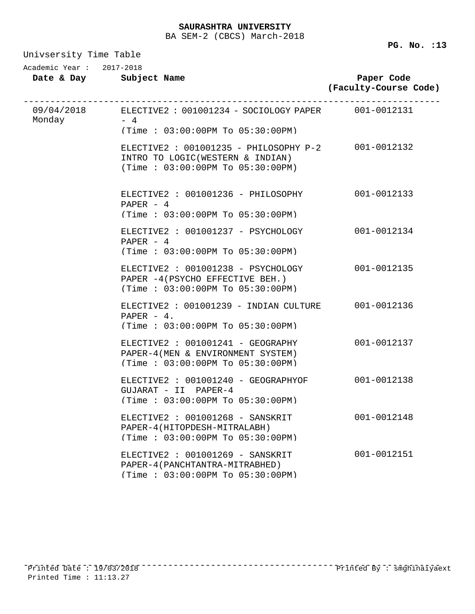| Univsersity Time Table |                                                                                                                            |                                     |  |  |  |
|------------------------|----------------------------------------------------------------------------------------------------------------------------|-------------------------------------|--|--|--|
|                        | Academic Year: 2017-2018                                                                                                   |                                     |  |  |  |
|                        | Date & Day Subject Name                                                                                                    | Paper Code<br>(Faculty-Course Code) |  |  |  |
| Monday $-4$            | 09/04/2018 ELECTIVE2: 001001234 - SOCIOLOGY PAPER 001-0012131                                                              |                                     |  |  |  |
|                        | (Time : 03:00:00PM T0 05:30:00PM)                                                                                          |                                     |  |  |  |
|                        | ELECTIVE2 : 001001235 - PHILOSOPHY P-2 001-0012132<br>INTRO TO LOGIC(WESTERN & INDIAN)<br>(Time: 03:00:00PM To 05:30:00PM) |                                     |  |  |  |
|                        | ELECTIVE2 : 001001236 - PHILOSOPHY<br>PAPER $-4$<br>(Time: 03:00:00PM To 05:30:00PM)                                       | 001-0012133                         |  |  |  |
|                        | ELECTIVE2 : 001001237 - PSYCHOLOGY<br>PAPER $-4$<br>(Time: 03:00:00PM To 05:30:00PM)                                       | 001-0012134                         |  |  |  |
|                        | ELECTIVE2 : 001001238 - PSYCHOLOGY<br>PAPER -4 (PSYCHO EFFECTIVE BEH.)<br>(Time: 03:00:00PM To 05:30:00PM)                 | 001-0012135                         |  |  |  |
|                        | ELECTIVE2: 001001239 - INDIAN CULTURE<br>PAPER $-4$ .<br>(Time: 03:00:00PM To 05:30:00PM)                                  | 001-0012136                         |  |  |  |
|                        | ELECTIVE2 : 001001241 - GEOGRAPHY<br>PAPER-4 (MEN & ENVIRONMENT SYSTEM)<br>(Time: 03:00:00PM To 05:30:00PM)                | 001-0012137                         |  |  |  |
|                        | ELECTIVE2 : 001001240 - GEOGRAPHYOF<br>GUJARAT - II PAPER-4<br>$(Time : 03:00:00PM$ To $05:30:00PM$                        | 001-0012138                         |  |  |  |
|                        | ELECTIVE2 : 001001268 - SANSKRIT<br>PAPER-4(HITOPDESH-MITRALABH)<br>(Time: 03:00:00PM To 05:30:00PM)                       | 001-0012148                         |  |  |  |
|                        | ELECTIVE2 : 001001269 - SANSKRIT<br>PAPER-4 (PANCHTANTRA-MITRABHED)<br>(Time: 03:00:00PM To 05:30:00PM)                    | 001-0012151                         |  |  |  |